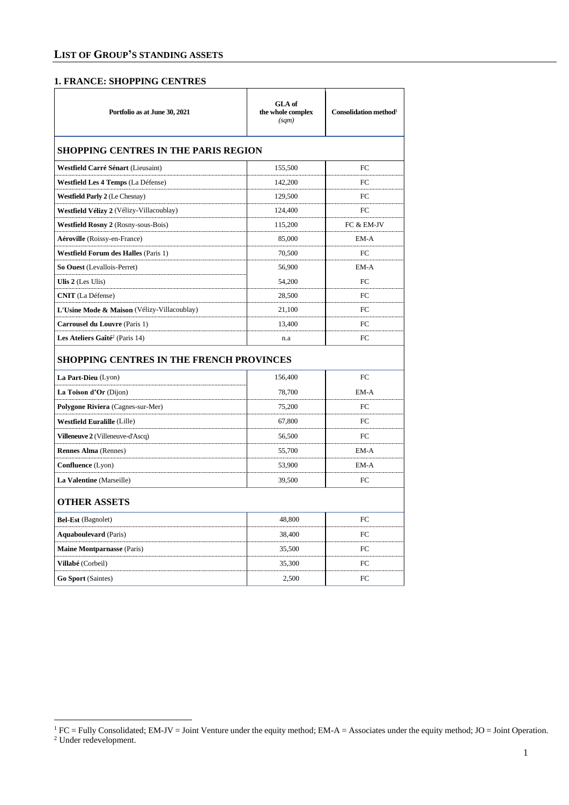## **1. FRANCE: SHOPPING CENTRES**

| Portfolio as at June 30, 2021               | GLA of<br>the whole complex<br>(sqm) | Consolidation method <sup>1</sup> |
|---------------------------------------------|--------------------------------------|-----------------------------------|
| <b>SHOPPING CENTRES IN THE PARIS REGION</b> |                                      |                                   |
| Westfield Carré Sénart (Lieusaint)          | 155,500                              | FC                                |
| Westfield Les 4 Temps (La Défense)          | 142,200                              | FC                                |
| <b>Westfield Parly 2</b> (Le Chesnay)       | 129,500                              | FC                                |
| Westfield Vélizy 2 (Vélizy-Villacoublay)    | 124,400                              | FC                                |
| <b>Westfield Rosny 2 (Rosny-sous-Bois)</b>  | 115,200                              | FC & EM-JV                        |
| Aéroville (Roissy-en-France)                | 85,000                               | EM-A                              |
| <b>Westfield Forum des Halles (Paris 1)</b> | 70,500                               | FC                                |
| So Ouest (Levallois-Perret)                 | 56,900                               | EM-A                              |
| Ulis 2 (Les Ulis)                           | 54,200                               | FC                                |
| <b>CNIT</b> (La Défense)                    | 28,500                               | FC                                |
| L'Usine Mode & Maison (Vélizy-Villacoublay) | 21,100                               | FC                                |
| <b>Carrousel du Louvre</b> (Paris 1)        | 13,400                               | FC                                |
| Les Ateliers Gaîté <sup>2</sup> (Paris 14)  | n.a                                  | FC                                |
| SHOPPING CENTRES IN THE FRENCH PROVINCES    |                                      |                                   |
| La Part-Dieu (Lyon)                         | 156,400                              | FC                                |
| La Toison d'Or (Dijon)                      | 78,700                               | EM-A                              |
| Polygone Riviera (Cagnes-sur-Mer)           | 75,200                               | FC                                |
| <b>Westfield Euralille (Lille)</b>          | 67,800                               | FC                                |
| Villeneuve 2 (Villeneuve-d'Ascq)            | 56,500                               | FC.                               |
| <b>Rennes Alma</b> (Rennes)                 | 55,700                               | EM-A                              |
| <b>Confluence</b> (Lyon)                    | 53,900                               | EM-A                              |
| La Valentine (Marseille)                    | 39,500                               | FC                                |
| <b>OTHER ASSETS</b>                         |                                      |                                   |
| <b>Bel-Est</b> (Bagnolet)                   | 48,800                               | FC                                |
| <b>Aquaboulevard</b> (Paris)                | 38,400                               | FC                                |
| <b>Maine Montparnasse (Paris)</b>           | 35,500                               | FC                                |
| Villabé (Corbeil)                           | 35,300                               | FC                                |
| <b>Go Sport</b> (Saintes)                   | 2,500                                | FC                                |
|                                             |                                      |                                   |

 ${}^{1}$  FC = Fully Consolidated; EM-JV = Joint Venture under the equity method; EM-A = Associates under the equity method; JO = Joint Operation.

<sup>2</sup> Under redevelopment.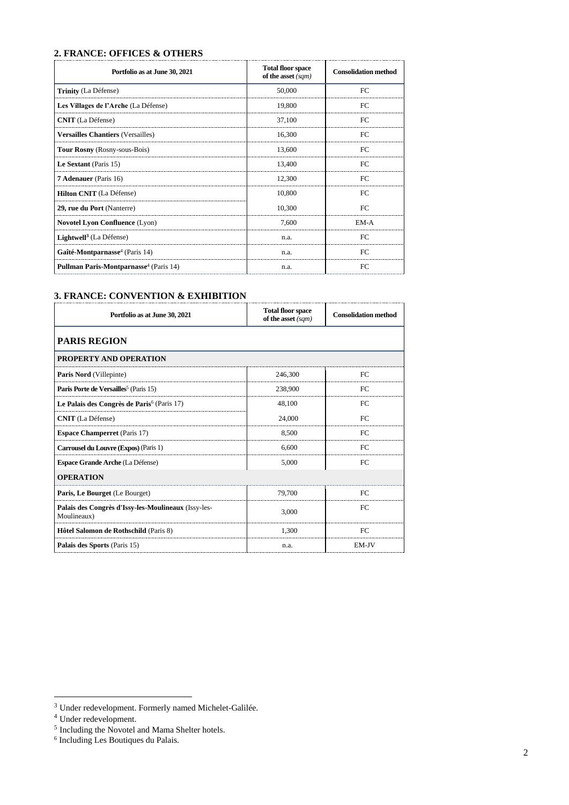## **2. FRANCE: OFFICES & OTHERS**

| Portfolio as at June 30, 2021                      | <b>Total floor space</b><br>of the asset $(sqm)$ | <b>Consolidation method</b> |
|----------------------------------------------------|--------------------------------------------------|-----------------------------|
| Trinity (La Défense)                               | 50,000                                           | FC                          |
| Les Villages de l'Arche (La Défense)               | 19,800                                           | FC                          |
| <b>CNIT</b> (La Défense)                           | 37,100                                           | FC.                         |
| <b>Versailles Chantiers (Versailles)</b>           | 16,300                                           | FC                          |
| <b>Tour Rosny</b> (Rosny-sous-Bois)                | 13.600                                           | FC                          |
| Le Sextant (Paris 15)                              | 13,400                                           | FC                          |
| <b>7 Adenauer</b> (Paris 16)                       | 12,300                                           | FC                          |
| <b>Hilton CNIT</b> (La Défense)                    | 10,800                                           | FC                          |
| 29, rue du Port (Nanterre)                         | 10,300                                           | FC                          |
| Novotel Lyon Confluence (Lyon)                     | 7.600                                            | EM-A                        |
| Lightwell <sup>3</sup> (La Défense)                | n.a.                                             | FC                          |
| Gaîté-Montparnasse <sup>4</sup> (Paris 14)         | n.a.                                             | FC                          |
| Pullman Paris-Montparnasse <sup>4</sup> (Paris 14) | n.a.                                             | FC                          |

#### **3. FRANCE: CONVENTION & EXHIBITION**

| Portfolio as at June 30, 2021                                      | <b>Total floor space</b><br>of the asset (sqm) | <b>Consolidation method</b> |
|--------------------------------------------------------------------|------------------------------------------------|-----------------------------|
| <b>PARIS REGION</b>                                                |                                                |                             |
| <b>PROPERTY AND OPERATION</b>                                      |                                                |                             |
| <b>Paris Nord</b> (Villepinte)                                     | 246,300                                        | FC                          |
| Paris Porte de Versailles <sup>5</sup> (Paris 15)                  | 238,900                                        | FC                          |
| Le Palais des Congrès de Paris <sup>6</sup> (Paris 17)             | 48,100                                         | FC                          |
| <b>CNIT</b> (La Défense)                                           | 24,000                                         | FC.                         |
| <b>Espace Champerret</b> (Paris 17)                                | 8.500                                          | FC                          |
| Carrousel du Louvre (Expos) (Paris 1)                              | 6,600                                          | FC                          |
| <b>Espace Grande Arche (La Défense)</b>                            | 5,000                                          | FC                          |
| <b>OPERATION</b>                                                   |                                                |                             |
| Paris, Le Bourget (Le Bourget)                                     | 79,700                                         | FC                          |
| Palais des Congrès d'Issy-les-Moulineaux (Issy-les-<br>Moulineaux) | 3.000                                          | FC                          |
| Hôtel Salomon de Rothschild (Paris 8)                              | 1.300                                          | FC                          |
| Palais des Sports (Paris 15)                                       | n.a.                                           | EM-JV                       |

<sup>&</sup>lt;sup>3</sup> Under redevelopment. Formerly named Michelet-Galilée.

<sup>&</sup>lt;sup>4</sup> Under redevelopment.<br><sup>5</sup> Including the Novotel and Mama Shelter hotels.<br><sup>6</sup> Including Les Boutiques du Palais.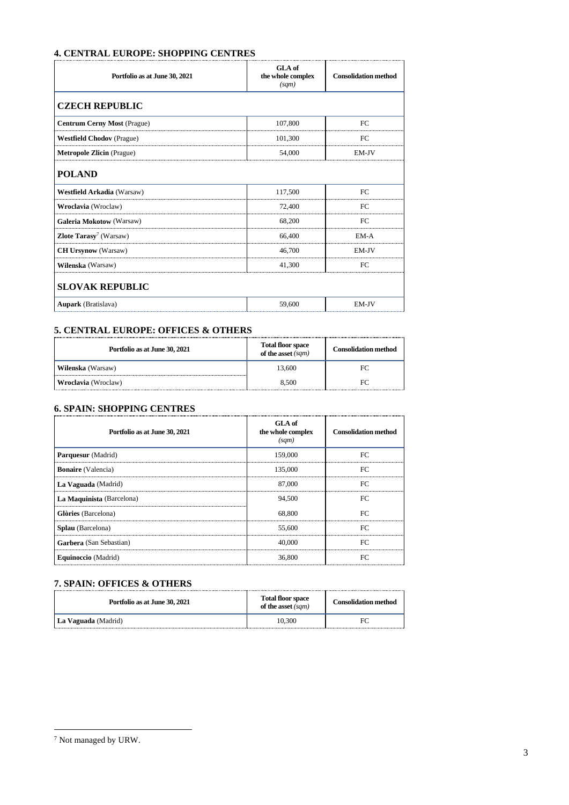# **4. CENTRAL EUROPE: SHOPPING CENTRES**

| Portfolio as at June 30, 2021             | GLA of<br>the whole complex<br>(sqm) | <b>Consolidation method</b> |
|-------------------------------------------|--------------------------------------|-----------------------------|
| <b>CZECH REPUBLIC</b>                     |                                      |                             |
| <b>Centrum Cerny Most (Prague)</b>        | 107,800                              | FC                          |
| <b>Westfield Chodov</b> (Prague)          | 101,300                              | FC                          |
| <b>Metropole Zlicin</b> (Prague)          | 54,000                               | EM-JV                       |
| <b>POLAND</b>                             |                                      |                             |
| <b>Westfield Arkadia</b> (Warsaw)         | 117,500                              | FC                          |
| Wroclavia (Wroclaw)                       | 72,400                               | FC                          |
| <b>Galeria Mokotow (Warsaw)</b>           | 68,200                               | FC                          |
| <b>Zlote Tarasy</b> <sup>7</sup> (Warsaw) | 66,400                               | EM-A                        |
| <b>CH Ursynow</b> (Warsaw)                | 46,700                               | EM-JV                       |
| Wilenska (Warsaw)                         | 41,300                               | FC                          |
| <b>SLOVAK REPUBLIC</b>                    |                                      |                             |
| <b>Aupark</b> (Bratislava)                | 59,600                               | EM-JV                       |

#### **5. CENTRAL EUROPE: OFFICES & OTHERS**

| Portfolio as at June 30, 2021 | <b>Total floor space</b><br>of the asset $(sqm)$ | <b>Consolidation method</b> |
|-------------------------------|--------------------------------------------------|-----------------------------|
| Wilenska (Warsaw)             | 13.600                                           | FC                          |
| Wroclavia (Wroclaw)           | 8.500                                            |                             |

## **6. SPAIN: SHOPPING CENTRES**

| Portfolio as at June 30, 2021 | GLA of<br>the whole complex<br>(sqm) | <b>Consolidation method</b> |
|-------------------------------|--------------------------------------|-----------------------------|
| Parquesur (Madrid)            | 159,000                              | FC.                         |
| <b>Bonaire</b> (Valencia)     | 135,000                              | FC                          |
| La Vaguada (Madrid)           | 87,000                               | FC.                         |
| La Maquinista (Barcelona)     | 94,500                               | FC.                         |
| Glòries (Barcelona)           | 68,800                               | FC                          |
| Splau (Barcelona)             | 55,600                               | FC                          |
| Garbera (San Sebastian)       | 40,000                               | FC.                         |
| Equinoccio (Madrid)           | 36,800                               | FC                          |

# **7. SPAIN: OFFICES & OTHERS**

| Portfolio as at June 30, 2021 | <b>Total floor space</b><br>of the asset $(sqm)$ | <b>Consolidation method</b> |
|-------------------------------|--------------------------------------------------|-----------------------------|
| La Vaguada (Madrid)           | 10.300                                           |                             |

 $^7$  Not managed by URW.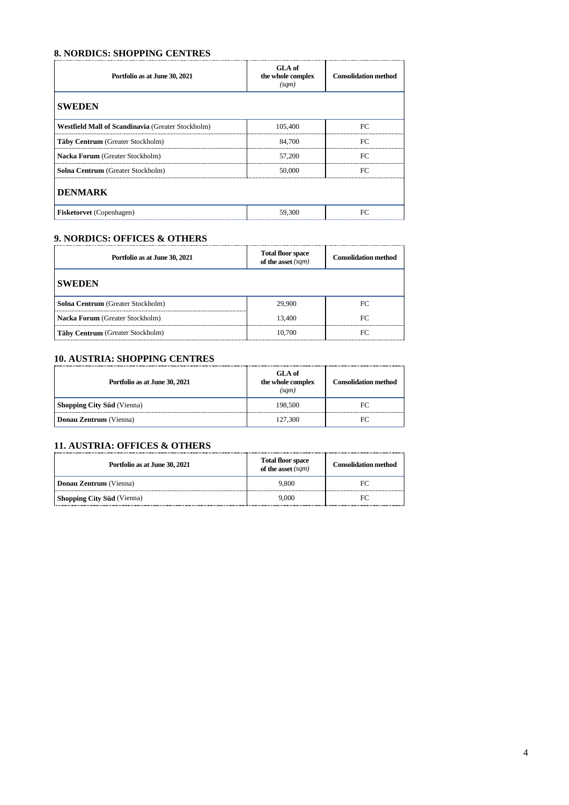## **8. NORDICS: SHOPPING CENTRES**

| Portfolio as at June 30, 2021                            | GLA of<br>the whole complex<br>(sqm) | <b>Consolidation method</b> |
|----------------------------------------------------------|--------------------------------------|-----------------------------|
| <b>SWEDEN</b>                                            |                                      |                             |
| <b>Westfield Mall of Scandinavia (Greater Stockholm)</b> | 105,400                              | FC                          |
| Täby Centrum (Greater Stockholm)                         | 84,700                               | FC                          |
| Nacka Forum (Greater Stockholm)                          | 57,200                               | FC                          |
| Solna Centrum (Greater Stockholm)                        | 50,000                               | FC                          |
| <b>DENMARK</b>                                           |                                      |                             |
| <b>Fisketorvet</b> (Copenhagen)                          | 59,300                               | FC                          |

# **9. NORDICS: OFFICES & OTHERS**

| Portfolio as at June 30, 2021           | Total floor space<br>of the asset $(sqm)$ | <b>Consolidation method</b> |
|-----------------------------------------|-------------------------------------------|-----------------------------|
| <b>SWEDEN</b>                           |                                           |                             |
| Solna Centrum (Greater Stockholm)       | 29.900                                    | FC<br>                      |
| <b>Nacka Forum</b> (Greater Stockholm)  | 13.400                                    | FC                          |
| <b>Täby Centrum</b> (Greater Stockholm) | 10.700                                    | FС                          |

## **10. AUSTRIA: SHOPPING CENTRES**

| Portfolio as at June 30, 2021     | <b>GLA</b> of<br>the whole complex<br>(sam) | <b>Consolidation method</b> |
|-----------------------------------|---------------------------------------------|-----------------------------|
| <b>Shopping City Süd</b> (Vienna) | 198,500                                     | FC.                         |
| Donau Zentrum (Vienna)            | 127,300                                     |                             |

#### **11. AUSTRIA: OFFICES & OTHERS**

| Portfolio as at June 30, 2021     | <b>Total floor space</b><br>of the asset $(sqm)$ | <b>Consolidation method</b> |
|-----------------------------------|--------------------------------------------------|-----------------------------|
| Donau Zentrum (Vienna)            | 9.800                                            |                             |
| <b>Shopping City Süd</b> (Vienna) | 9.000                                            |                             |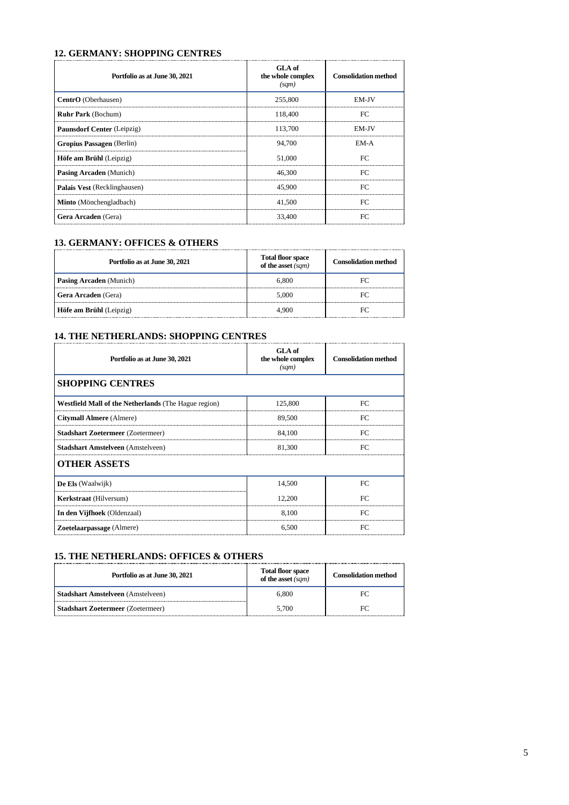## **12. GERMANY: SHOPPING CENTRES**

| Portfolio as at June 30, 2021     | <b>GLA</b> of<br>the whole complex<br>(sqm) | <b>Consolidation method</b> |
|-----------------------------------|---------------------------------------------|-----------------------------|
| CentrO (Oberhausen)               | 255,800                                     | <b>EM-IV</b>                |
| <b>Ruhr Park (Bochum)</b>         | 118,400                                     | FC                          |
| <b>Paunsdorf Center</b> (Leipzig) | 113,700                                     | <b>EM-IV</b>                |
| Gropius Passagen (Berlin)         | 94,700                                      | EM-A                        |
| Höfe am Brühl (Leipzig)           | 51,000                                      | FC                          |
| Pasing Arcaden (Munich)           | 46,300                                      | FC                          |
| Palais Vest (Recklinghausen)      | 45,900                                      | EC                          |
| Minto (Mönchengladbach)           | 41,500                                      | EC                          |
| Gera Arcaden (Gera)               | 33.400                                      | FC                          |

#### **13. GERMANY: OFFICES & OTHERS**

| Portfolio as at June 30, 2021  | <b>Total floor space</b><br>of the asset $(sqm)$ | <b>Consolidation method</b> |
|--------------------------------|--------------------------------------------------|-----------------------------|
| <b>Pasing Arcaden</b> (Munich) | 6.800                                            |                             |
| <b>Gera Arcaden</b> (Gera)     | 5.000                                            |                             |
| Höfe am Brühl (Leipzig)        | 4.900                                            |                             |

## **14. THE NETHERLANDS: SHOPPING CENTRES**

| Portfolio as at June 30, 2021                        | GLA of<br>the whole complex<br>(sqm) | <b>Consolidation method</b> |
|------------------------------------------------------|--------------------------------------|-----------------------------|
| <b>SHOPPING CENTRES</b>                              |                                      |                             |
| Westfield Mall of the Netherlands (The Hague region) | 125,800                              | FC                          |
| <b>Citymall Almere</b> (Almere)                      | 89,500                               | FC                          |
| <b>Stadshart Zoetermeer (Zoetermeer)</b>             | 84,100                               | FC                          |
| <b>Stadshart Amstelveen</b> (Amstelveen)             | 81,300                               | FC.                         |
| <b>OTHER ASSETS</b>                                  |                                      |                             |
| De Els (Waalwijk)                                    | 14.500                               | FC                          |
| <b>Kerkstraat</b> (Hilversum)                        | 12.200                               | FC                          |
| In den Vijfhoek (Oldenzaal)                          | 8,100                                | FC.                         |
| Zoetelaarpassage (Almere)                            | 6.500                                | FC                          |

#### **15. THE NETHERLANDS: OFFICES & OTHERS**

| Portfolio as at June 30, 2021            | <b>Total floor space</b><br>of the asset $(sqm)$ | <b>Consolidation method</b> |
|------------------------------------------|--------------------------------------------------|-----------------------------|
| <b>Stadshart Amstelveen</b> (Amstelveen) | 6.800                                            | FС                          |
| <b>Stadshart Zoetermeer (Zoetermeer)</b> | 5.700                                            |                             |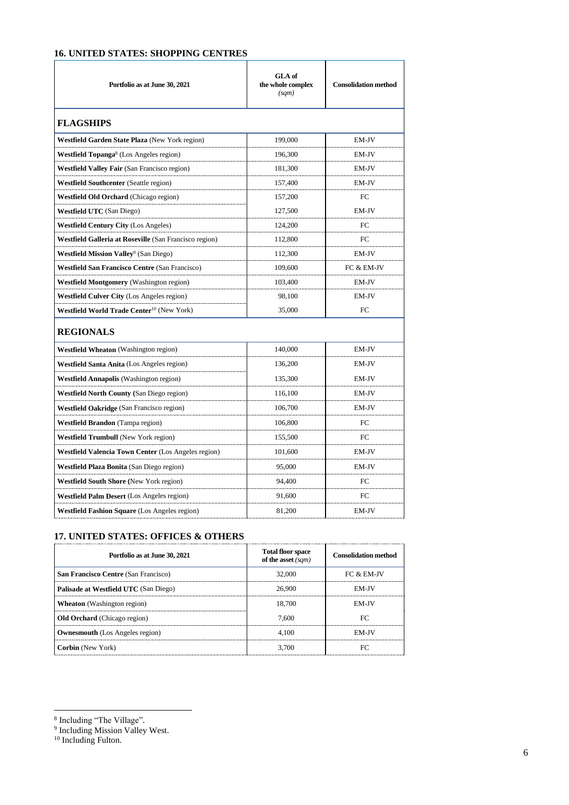# **16. UNITED STATES: SHOPPING CENTRES**

| Portfolio as at June 30, 2021                          | GLA of<br>the whole complex<br>(sqm) | <b>Consolidation method</b> |
|--------------------------------------------------------|--------------------------------------|-----------------------------|
| <b>FLAGSHIPS</b>                                       |                                      |                             |
| Westfield Garden State Plaza (New York region)         | 199,000                              | EM-JV                       |
| Westfield Topanga <sup>8</sup> (Los Angeles region)    | 196,300                              | EM-JV                       |
| <b>Westfield Valley Fair (San Francisco region)</b>    | 181,300                              | EM-JV                       |
| <b>Westfield Southcenter</b> (Seattle region)          | 157,400                              | EM-JV                       |
| <b>Westfield Old Orchard</b> (Chicago region)          | 157,200                              | FC                          |
| <b>Westfield UTC</b> (San Diego)                       | 127,500                              | EM-JV                       |
| <b>Westfield Century City (Los Angeles)</b>            | 124,200                              | FC                          |
| Westfield Galleria at Roseville (San Francisco region) | 112,800                              | FC                          |
| Westfield Mission Valley <sup>9</sup> (San Diego)      | 112,300                              | EM-JV                       |
| <b>Westfield San Francisco Centre (San Francisco)</b>  | 109,600                              | FC & EM-JV                  |
| <b>Westfield Montgomery</b> (Washington region)        | 103,400                              | EM-JV                       |
| <b>Westfield Culver City (Los Angeles region)</b>      | 98,100                               | EM-JV                       |
| Westfield World Trade Center <sup>10</sup> (New York)  | 35,000                               | FC                          |
| <b>REGIONALS</b>                                       |                                      |                             |
| <b>Westfield Wheaton</b> (Washington region)           | 140,000                              | EM-JV                       |
| <b>Westfield Santa Anita</b> (Los Angeles region)      | 136,200                              | EM-JV                       |
| Westfield Annapolis (Washington region)                | 135,300                              | EM-JV                       |
| <b>Westfield North County (San Diego region)</b>       | 116,100                              | EM-JV                       |
| <b>Westfield Oakridge</b> (San Francisco region)       | 106,700                              | EM-JV                       |
| <b>Westfield Brandon</b> (Tampa region)                | 106,800                              | FC                          |
| <b>Westfield Trumbull</b> (New York region)            | 155,500                              | FC                          |
| Westfield Valencia Town Center (Los Angeles region)    | 101,600                              | EM-JV                       |
| <b>Westfield Plaza Bonita</b> (San Diego region)       | 95,000                               | EM-JV                       |
| <b>Westfield South Shore</b> (New York region)         | 94,400                               | FC                          |
| <b>Westfield Palm Desert</b> (Los Angeles region)      | 91.600                               | FC                          |
| Westfield Fashion Square (Los Angeles region)          | 81,200                               | EM-JV                       |

# **17. UNITED STATES: OFFICES & OTHERS**

| Portfolio as at June 30, 2021          | <b>Total floor space</b><br>of the asset (sqm) | <b>Consolidation method</b> |
|----------------------------------------|------------------------------------------------|-----------------------------|
| San Francisco Centre (San Francisco)   | 32.000                                         | $FC & EM-IV$                |
| Palisade at Westfield UTC (San Diego)  | 26.900                                         | <b>EM-IV</b>                |
| <b>Wheaton</b> (Washington region)     | 18.700                                         | <b>EM-IV</b>                |
| <b>Old Orchard</b> (Chicago region)    | 7.600                                          |                             |
| <b>Ownesmouth</b> (Los Angeles region) | 4.100                                          | FM-IV                       |
| <b>Corbin</b> (New York)               | 3.700                                          |                             |

<sup>&</sup>lt;sup>8</sup> Including "The Village".<br><sup>9</sup> Including Mission Valley West.

<sup>&</sup>lt;sup>10</sup> Including Fulton.